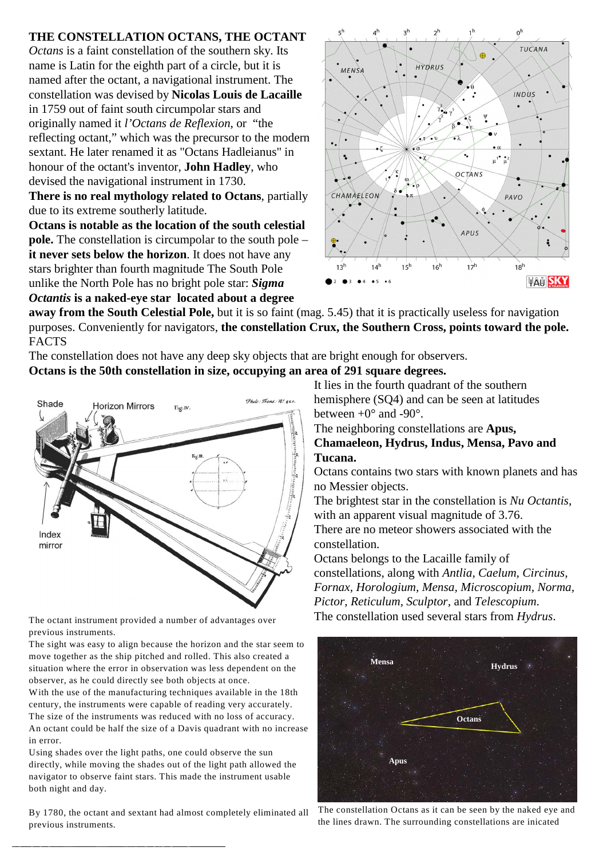## **THE CONSTELLATION OCTANS, THE OCTANT**

*Octans* is a faint constellation of the southern sky. Its name is Latin for the eighth part of a circle, but it is named after the octant, a navigational instrument. The constellation was devised by **Nicolas Louis de Lacaille** in 1759 out of faint south circumpolar stars and originally named it *l'Octans de Reflexion*, or "the reflecting octant," which was the precursor to the modern sextant. He later renamed it as "Octans Hadleianus" in honour of the octant's inventor, **John Hadley**, who devised the navigational instrument in 1730.

**There is no real mythology related to Octans**, partially due to its extreme southerly latitude.

**Octans is notable as the location of the south celestial pole.** The constellation is circumpolar to the south pole – **it never sets below the horizon**. It does not have any stars brighter than fourth magnitude The South Pole unlike the North Pole has no bright pole star: *Sigma Octantis* **is a naked-eye star located about a degree**



**away from the South Celestial Pole,** but it is so faint (mag. 5.45) that it is practically useless for navigation purposes. Conveniently for navigators, **the constellation Crux, the Southern Cross, points toward the pole.**  FACTS

The constellation does not have any deep sky objects that are bright enough for observers. **Octans is the 50th constellation in size, occupying an area of 291 square degrees.** 



previous instruments.

The sight was easy to align because the horizon and the star seem to move together as the ship pitched and rolled. This also created a situation where the error in observation was less dependent on the observer, as he could directly see both objects at once.

With the use of the manufacturing techniques available in the 18th century, the instruments were capable of reading very accurately. The size of the instruments was reduced with no loss of accuracy. An octant could be half the size of a Davis quadrant with no increase in error.

Using shades over the light paths, one could observe the sun directly, while moving the shades out of the light path allowed the navigator to observe faint stars. This made the instrument usable both night and day.

By 1780, the octant and sextant had almost completely eliminated all previous instruments.

It lies in the fourth quadrant of the southern hemisphere (SQ4) and can be seen at latitudes between  $+0^{\circ}$  and  $-90^{\circ}$ .

The neighboring constellations are **Apus,**

## **Chamaeleon, Hydrus, Indus, Mensa, Pavo and Tucana.**

Octans contains two stars with known planets and has no Messier objects.

The brightest star in the constellation is *Nu Octantis*, with an apparent visual magnitude of 3.76. There are no meteor showers associated with the

constellation.

Octans belongs to the Lacaille family of constellations, along with *Antlia, Caelum, Circinus, Fornax, Horologium, Mensa, Microscopium, Norma, Pictor, Reticulum, Sculptor,* and *Telescopium*. The octant instrument provided a number of advantages over The constellation used several stars from *Hydrus*.



The constellation Octans as it can be seen by the naked eye and the lines drawn. The surrounding constellations are inicated